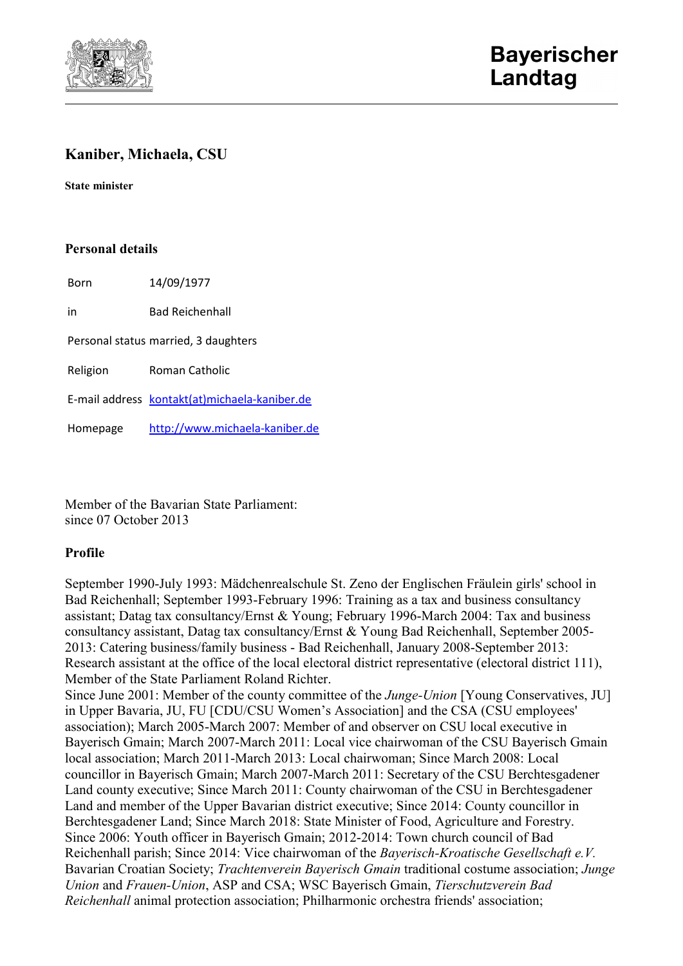

# **Kaniber, Michaela, CSU**

**State minister**

## **Personal details**

Born 14/09/1977

in Bad Reichenhall

Personal status married, 3 daughters

Religion Roman Catholic

E-mail address [kontakt\(at\)michaela-kaniber.de](javascript:linkTo_UnCryptMailto()

Homepage [http://www.michaela-kaniber.de](http://www.michaela-kaniber.de/)

Member of the Bavarian State Parliament: since 07 October 2013

### **Profile**

September 1990-July 1993: Mädchenrealschule St. Zeno der Englischen Fräulein girls' school in Bad Reichenhall; September 1993-February 1996: Training as a tax and business consultancy assistant; Datag tax consultancy/Ernst & Young; February 1996-March 2004: Tax and business consultancy assistant, Datag tax consultancy/Ernst & Young Bad Reichenhall, September 2005- 2013: Catering business/family business - Bad Reichenhall, January 2008-September 2013: Research assistant at the office of the local electoral district representative (electoral district 111), Member of the State Parliament Roland Richter.

Since June 2001: Member of the county committee of the *Junge-Union* [Young Conservatives, JU] in Upper Bavaria, JU, FU [CDU/CSU Women's Association] and the CSA (CSU employees' association); March 2005-March 2007: Member of and observer on CSU local executive in Bayerisch Gmain; March 2007-March 2011: Local vice chairwoman of the CSU Bayerisch Gmain local association; March 2011-March 2013: Local chairwoman; Since March 2008: Local councillor in Bayerisch Gmain; March 2007-March 2011: Secretary of the CSU Berchtesgadener Land county executive; Since March 2011: County chairwoman of the CSU in Berchtesgadener Land and member of the Upper Bavarian district executive; Since 2014: County councillor in Berchtesgadener Land; Since March 2018: State Minister of Food, Agriculture and Forestry. Since 2006: Youth officer in Bayerisch Gmain; 2012-2014: Town church council of Bad Reichenhall parish; Since 2014: Vice chairwoman of the *Bayerisch-Kroatische Gesellschaft e.V.* Bavarian Croatian Society; *Trachtenverein Bayerisch Gmain* traditional costume association; *Junge Union* and *Frauen-Union*, ASP and CSA; WSC Bayerisch Gmain, *Tierschutzverein Bad Reichenhall* animal protection association; Philharmonic orchestra friends' association;